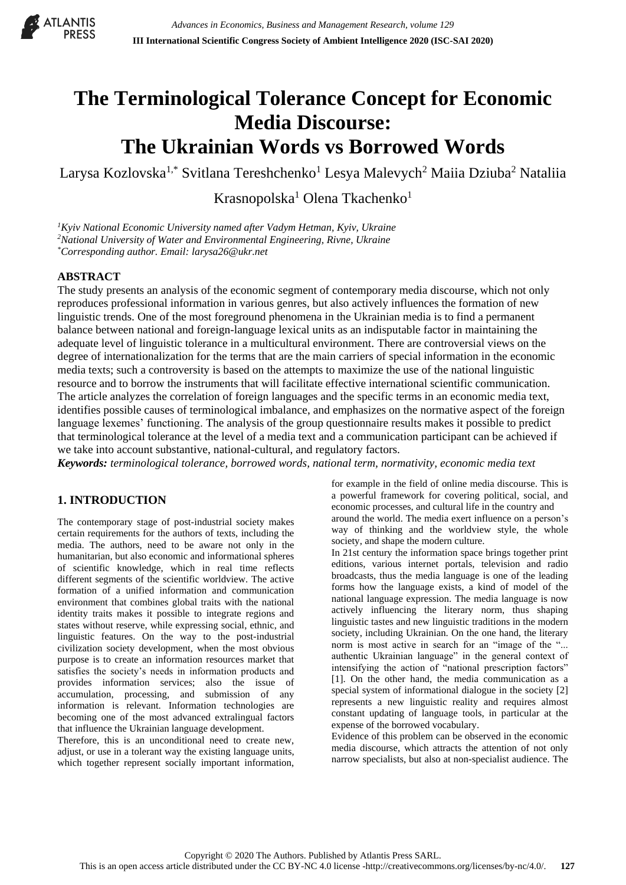

# **The Terminological Tolerance Concept for Economic Media Discourse: The Ukrainian Words vs Borrowed Words**

Larysa Kozlovska<sup>1,\*</sup> Svitlana Tereshchenko<sup>1</sup> Lesya Malevych<sup>2</sup> Maiia Dziuba<sup>2</sup> Nataliia

Krasnopolska<sup>1</sup> Olena Tkachenko<sup>1</sup>

*<sup>1</sup>Kyiv National Economic University named after Vadym Hetman, Kyiv, Ukraine <sup>2</sup>National University of Water and Environmental Engineering, Rivne, Ukraine \*Corresponding author. Email: larysa26@ukr.net*

#### **ABSTRACT**

The study presents an analysis of the economic segment of contemporary media discourse, which not only reproduces professional information in various genres, but also actively influences the formation of new linguistic trends. One of the most foreground phenomena in the Ukrainian media is to find a permanent balance between national and foreign-language lexical units as an indisputable factor in maintaining the adequate level of linguistic tolerance in a multicultural environment. There are controversial views on the degree of internationalization for the terms that are the main carriers of special information in the economic media texts; such a controversity is based on the attempts to maximize the use of the national linguistic resource and to borrow the instruments that will facilitate effective international scientific communication. The article analyzes the correlation of foreign languages and the specific terms in an economic media text, identifies possible causes of terminological imbalance, and emphasizes on the normative aspect of the foreign language lexemes' functioning. The analysis of the group questionnaire results makes it possible to predict that terminological tolerance at the level of a media text and a communication participant can be achieved if we take into account substantive, national-cultural, and regulatory factors.

*Keywords: terminological tolerance, borrowed words, national term, normativity, economic media text*

### **1. INTRODUCTION**

The contemporary stage of post-industrial society makes certain requirements for the authors of texts, including the media. The authors, need to be aware not only in the humanitarian, but also economic and informational spheres of scientific knowledge, which in real time reflects different segments of the scientific worldview. The active formation of a unified information and communication environment that combines global traits with the national identity traits makes it possible to integrate regions and states without reserve, while expressing social, ethnic, and linguistic features. On the way to the post-industrial civilization society development, when the most obvious purpose is to create an information resources market that satisfies the society's needs in information products and provides information services; also the issue of accumulation, processing, and submission of any information is relevant. Information technologies are becoming one of the most advanced extralingual factors that influence the Ukrainian language development.

Therefore, this is an unconditional need to create new, adjust, or use in a tolerant way the existing language units, which together represent socially important information,

for example in the field of online media discourse. This is a powerful framework for covering political, social, and economic processes, and cultural life in the country and around the world. The media exert influence on a person's way of thinking and the worldview style, the whole society, and shape the modern culture.

In 21st century the information space brings together print editions, various internet portals, television and radio broadcasts, thus the media language is one of the leading forms how the language exists, a kind of model of the national language expression. The media language is now actively influencing the literary norm, thus shaping linguistic tastes and new linguistic traditions in the modern society, including Ukrainian. On the one hand, the literary norm is most active in search for an "image of the "... authentic Ukrainian language" in the general context of intensifying the action of "national prescription factors" [1]. On the other hand, the media communication as a special system of informational dialogue in the society [2] represents a new linguistic reality and requires almost constant updating of language tools, in particular at the expense of the borrowed vocabulary.

Evidence of this problem can be observed in the economic media discourse, which attracts the attention of not only narrow specialists, but also at non-specialist audience. The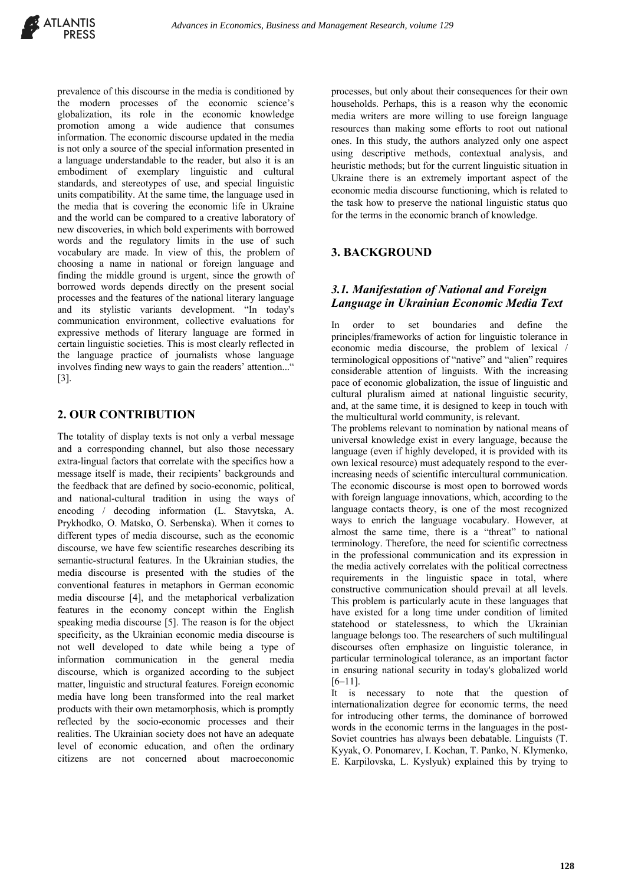prevalence of this discourse in the media is conditioned by the modern processes of the economic science's globalization, its role in the economic knowledge promotion among a wide audience that consumes information. The economic discourse updated in the media is not only a source of the special information presented in a language understandable to the reader, but also it is an embodiment of exemplary linguistic and cultural standards, and stereotypes of use, and special linguistic units compatibility. At the same time, the language used in the media that is covering the economic life in Ukraine and the world can be compared to a creative laboratory of new discoveries, in which bold experiments with borrowed words and the regulatory limits in the use of such vocabulary are made. In view of this, the problem of choosing a name in national or foreign language and finding the middle ground is urgent, since the growth of borrowed words depends directly on the present social processes and the features of the national literary language and its stylistic variants development. "In today's communication environment, collective evaluations for expressive methods of literary language are formed in certain linguistic societies. This is most clearly reflected in the language practice of journalists whose language involves finding new ways to gain the readers' attention..." [3].

#### **2. OUR CONTRIBUTION**

The totality of display texts is not only a verbal message and a corresponding channel, but also those necessary extra-lingual factors that correlate with the specifics how a message itself is made, their recipients' backgrounds and the feedback that are defined by socio-economic, political, and national-cultural tradition in using the ways of encoding / decoding information (L. Stavytska, A. Prykhodko, O. Matsko, O. Serbenska). When it comes to different types of media discourse, such as the economic discourse, we have few scientific researches describing its semantic-structural features. In the Ukrainian studies, the media discourse is presented with the studies of the conventional features in metaphors in German economic media discourse [4], and the metaphorical verbalization features in the economy concept within the English speaking media discourse [5]. The reason is for the object specificity, as the Ukrainian economic media discourse is not well developed to date while being a type of information communication in the general media discourse, which is organized according to the subject matter, linguistic and structural features. Foreign economic media have long been transformed into the real market products with their own metamorphosis, which is promptly reflected by the socio-economic processes and their realities. The Ukrainian society does not have an adequate level of economic education, and often the ordinary citizens are not concerned about macroeconomic

processes, but only about their consequences for their own households. Perhaps, this is a reason why the economic media writers are more willing to use foreign language resources than making some efforts to root out national ones. In this study, the authors analyzed only one aspect using descriptive methods, contextual analysis, and heuristic methods; but for the current linguistic situation in Ukraine there is an extremely important aspect of the economic media discourse functioning, which is related to the task how to preserve the national linguistic status quo for the terms in the economic branch of knowledge.

# **3. BACKGROUND**

# *3.1. Manifestation of National and Foreign Language in Ukrainian Economic Media Text*

In order to set boundaries and define the principles/frameworks of action for linguistic tolerance in economic media discourse, the problem of lexical / terminological oppositions of "native" and "alien" requires considerable attention of linguists. With the increasing pace of economic globalization, the issue of linguistic and cultural pluralism aimed at national linguistic security, and, at the same time, it is designed to keep in touch with the multicultural world community, is relevant.

The problems relevant to nomination by national means of universal knowledge exist in every language, because the language (even if highly developed, it is provided with its own lexical resource) must adequately respond to the everincreasing needs of scientific intercultural communication. The economic discourse is most open to borrowed words with foreign language innovations, which, according to the language contacts theory, is one of the most recognized ways to enrich the language vocabulary. However, at almost the same time, there is a "threat" to national terminology. Therefore, the need for scientific correctness in the professional communication and its expression in the media actively correlates with the political correctness requirements in the linguistic space in total, where constructive communication should prevail at all levels. This problem is particularly acute in these languages that have existed for a long time under condition of limited statehood or statelessness, to which the Ukrainian language belongs too. The researchers of such multilingual discourses often emphasize on linguistic tolerance, in particular terminological tolerance, as an important factor in ensuring national security in today's globalized world [6–11].

It is necessary to note that the question of internationalization degree for economic terms, the need for introducing other terms, the dominance of borrowed words in the economic terms in the languages in the post-Soviet countries has always been debatable. Linguists (T. Kyyak, O. Ponomarev, I. Kochan, T. Panko, N. Klymenko, E. Karpilovska, L. Kyslyuk) explained this by trying to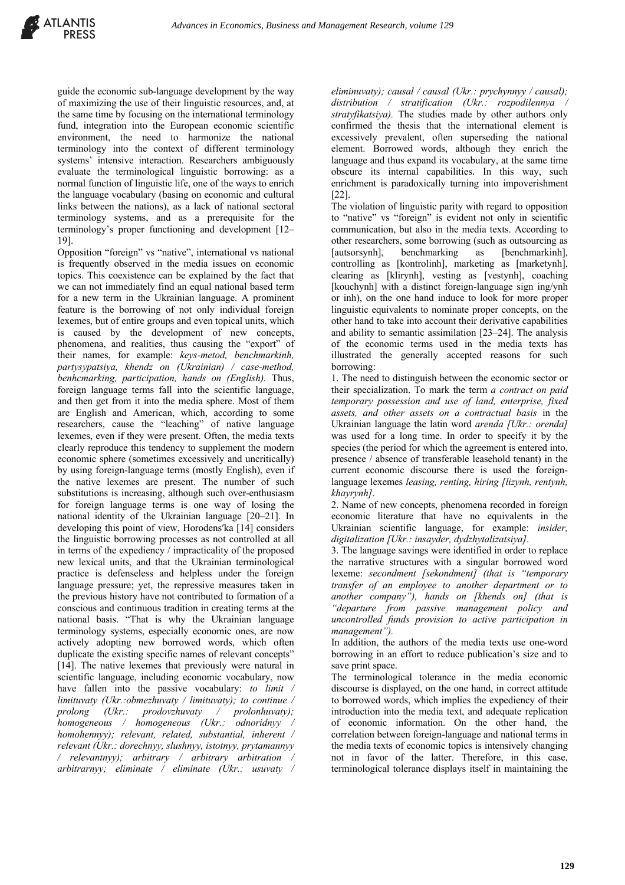guide the economic sub-language development by the way of maximizing the use of their linguistic resources, and, at the same time by focusing on the international terminology fund, integration into the European economic scientific environment, the need to harmonize the national terminology into the context of different terminology systems' intensive interaction. Researchers ambiguously evaluate the terminological linguistic borrowing: as a normal function of linguistic life, one of the ways to enrich the language vocabulary (basing on economic and cultural links between the nations), as a lack of national sectoral terminology systems, and as a prerequisite for the terminology's proper functioning and development [12– 19].

Opposition "foreign" vs "native", international vs national is frequently observed in the media issues on economic topics. This coexistence can be explained by the fact that we can not immediately find an equal national based term for a new term in the Ukrainian language. A prominent feature is the borrowing of not only individual foreign lexemes, but of entire groups and even topical units, which is caused by the development of new concepts, phenomena, and realities, thus causing the "export" of their names, for example: *keys-metod, benchmarkinh, partysypatsiya, khendz on (Ukrainian) / case-method, benhcmarking, participation, hands on (English).* Thus, foreign language terms fall into the scientific language, and then get from it into the media sphere. Most of them are English and American, which, according to some researchers, cause the "leaching" of native language lexemes, even if they were present. Often, the media texts clearly reproduce this tendency to supplement the modern economic sphere (sometimes excessively and uncritically) by using foreign-language terms (mostly English), even if the native lexemes are present. The number of such substitutions is increasing, although such over-enthusiasm for foreign language terms is one way of losing the national identity of the Ukrainian language [20–21]. In developing this point of view, Horodens'ka [14] considers the linguistic borrowing processes as not controlled at all in terms of the expediency / impracticality of the proposed new lexical units, and that the Ukrainian terminological practice is defenseless and helpless under the foreign language pressure; yet, the repressive measures taken in the previous history have not contributed to formation of a conscious and continuous tradition in creating terms at the national basis. "That is why the Ukrainian language terminology systems, especially economic ones, are now actively adopting new borrowed words, which often duplicate the existing specific names of relevant concepts" [14]. The native lexemes that previously were natural in scientific language, including economic vocabulary, now have fallen into the passive vocabulary: *to limit / limituvaty (Ukr.:obmezhuvaty / limituvaty); to continue / prolong (Ukr.: prodovzhuvaty / prolonhuvaty); homogeneous / homogeneous (Ukr.: odnoridnyy / homohennyy); relevant, related, substantial, inherent / relevant (Ukr.: dorechnyy, slushnyy, istotnyy, prytamannyy / relevantnyy); arbitrary / arbitrary arbitration / arbitrarnyy; eliminate / eliminate (Ukr.: usuvaty /* 

*eliminuvaty); causal / causal (Ukr.: prychynnyy / causal); distribution / stratification (Ukr.: rozpodilennya / stratyfikatsiya).* The studies made by other authors only confirmed the thesis that the international element is excessively prevalent, often superseding the national element. Borrowed words, although they enrich the language and thus expand its vocabulary, at the same time obscure its internal capabilities. In this way, such enrichment is paradoxically turning into impoverishment [22].

The violation of linguistic parity with regard to opposition to "native" vs "foreign" is evident not only in scientific communication, but also in the media texts. According to other researchers, some borrowing (such as outsourcing as [autsorsynh], benchmarking as [benchmarkinh], controlling as [kontrolinh], marketing as [marketynh], clearing as [klirynh], vesting as [vestynh], coaching [kouchynh] with a distinct foreign-language sign ing/ynh or inh), on the one hand induce to look for more proper linguistic equivalents to nominate proper concepts, on the other hand to take into account their derivative capabilities and ability to semantic assimilation [23–24]. The analysis of the economic terms used in the media texts has illustrated the generally accepted reasons for such borrowing:

1. The need to distinguish between the economic sector or their specialization. To mark the term *a contract on paid temporary possession and use of land, enterprise, fixed assets, and other assets on a contractual basis* in the Ukrainian language the latin word *arenda [Ukr.: orenda]* was used for a long time. In order to specify it by the species (the period for which the agreement is entered into, presence / absence of transferable leasehold tenant) in the current economic discourse there is used the foreignlanguage lexemes *leasing, renting, hiring [lizynh, rentynh, khayrynh]*.

2. Name of new concepts, phenomena recorded in foreign economic literature that have no equivalents in the Ukrainian scientific language, for example: *insider, digitalization [Ukr.: insayder, dydzhytalizatsiya]*.

3. The language savings were identified in order to replace the narrative structures with a singular borrowed word lexeme: *secondment [sekondment] (that is "temporary transfer of an employee to another department or to another company"), hands on [khends on] (that is "departure from passive management policy and uncontrolled funds provision to active participation in management").*

In addition, the authors of the media texts use one-word borrowing in an effort to reduce publication's size and to save print space.

The terminological tolerance in the media economic discourse is displayed, on the one hand, in correct attitude to borrowed words, which implies the expediency of their introduction into the media text, and adequate replication of economic information. On the other hand, the correlation between foreign-language and national terms in the media texts of economic topics is intensively changing not in favor of the latter. Therefore, in this case, terminological tolerance displays itself in maintaining the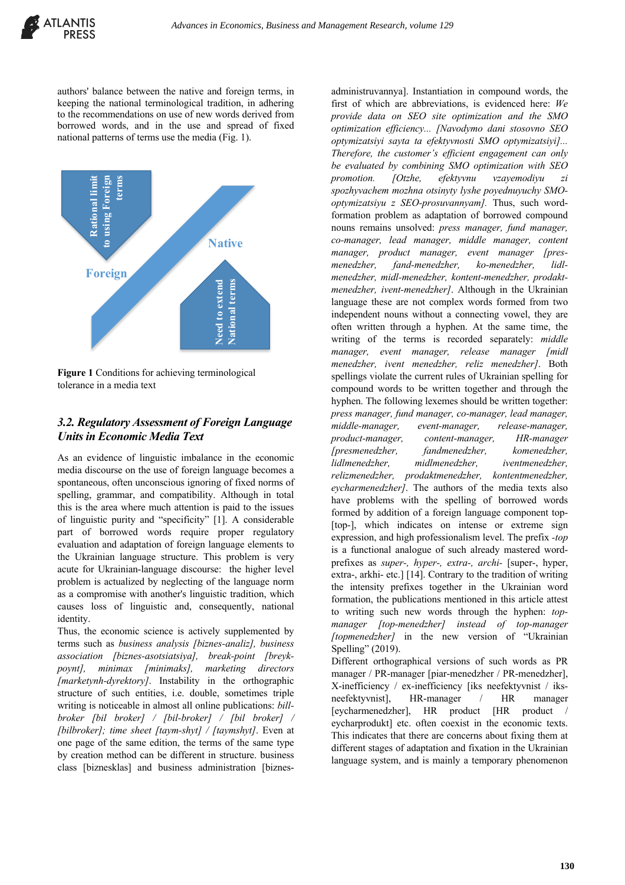authors' balance between the native and foreign terms, in keeping the national terminological tradition, in adhering to the recommendations on use of new words derived from borrowed words, and in the use and spread of fixed national patterns of terms use the media (Fig. 1).



**Figure 1** Conditions for achieving terminological tolerance in a media text

#### *3.2. Regulatory Assessment of Foreign Language Units in Economic Media Text*

As an evidence of linguistic imbalance in the economic media discourse on the use of foreign language becomes a spontaneous, often unconscious ignoring of fixed norms of spelling, grammar, and compatibility. Although in total this is the area where much attention is paid to the issues of linguistic purity and "specificity" [1]. A considerable part of borrowed words require proper regulatory evaluation and adaptation of foreign language elements to the Ukrainian language structure. This problem is very acute for Ukrainian-language discourse: the higher level problem is actualized by neglecting of the language norm as a compromise with another's linguistic tradition, which causes loss of linguistic and, consequently, national identity.

Thus, the economic science is actively supplemented by terms such as *business analysis [biznes-analiz], business association [biznes-asotsiatsiya], break-point [breykpoynt], minimax [minimaks], marketing directors [marketynh-dyrektory]*. Instability in the orthographic structure of such entities, i.e. double, sometimes triple writing is noticeable in almost all online publications: *billbroker [bil broker] / [bil-broker] / [bil broker] / [bilbroker]; time sheet [taym-shyt] / [taymshyt]*. Even at one page of the same edition, the terms of the same type by creation method can be different in structure. business class [biznesklas] and business administration [biznes-

administruvannya]. Instantiation in compound words, the first of which are abbreviations, is evidenced here: *We provide data on SEO site optimization and the SMO optimization efficiency... [Navodymo dani stosovno SEO optymizatsiyi sayta ta efektyvnosti SMO optymizatsiyi]... Therefore, the customer's efficient engagement can only be evaluated by combining SMO optimization with SEO promotion. [Otzhe, efektyvnu vzayemodiyu zi spozhyvachem mozhna otsinyty lyshe poyednuyuchy SMOoptymizatsiyu z SEO-prosuvannyam].* Thus, such wordformation problem as adaptation of borrowed compound nouns remains unsolved: *press manager, fund manager, co-manager, lead manager, middle manager, content manager, product manager, event manager [presmenedzher, fand-menedzher, ko-menedzher, lidlmenedzher, midl-menedzher, kontent-menedzher, prodaktmenedzher, ivent-menedzher]*. Although in the Ukrainian language these are not complex words formed from two independent nouns without a connecting vowel, they are often written through a hyphen. At the same time, the writing of the terms is recorded separately: *middle manager, event manager, release manager [midl menedzher, ivent menedzher, reliz menedzher]*. Both spellings violate the current rules of Ukrainian spelling for compound words to be written together and through the hyphen. The following lexemes should be written together: *press manager, fund manager, co-manager, lead manager, middle-manager, event-manager, release-manager, product-manager, content-manager, HR-manager [presmenedzher, fandmenedzher, komenedzher, lidlmenedzher, midlmenedzher, iventmenedzher, relizmenedzher, prodaktmenedzher, kontentmenedzher, eycharmenedzher]*. The authors of the media texts also have problems with the spelling of borrowed words formed by addition of a foreign language component top- [top-], which indicates on intense or extreme sign expression, and high professionalism level. The prefix *-top* is a functional analogue of such already mastered wordprefixes as *super-, hyper-, extra-, archi-* [super-, hyper, extra-, arkhi- etc.] [14]. Contrary to the tradition of writing the intensity prefixes together in the Ukrainian word formation, the publications mentioned in this article attest to writing such new words through the hyphen: *topmanager [top-menedzher] instead of top-manager [topmenedzher]* in the new version of "Ukrainian Spelling" (2019). Different orthographical versions of such words as PR

manager / PR-manager [piar-menedzher / PR-menedzher], X-inefficiency / ex-inefficiency [iks neefektyvnist / iksneefektyvnist], HR-manager / HR manager [eycharmenedzher], HR product [HR product / eycharprodukt] etc. often coexist in the economic texts. This indicates that there are concerns about fixing them at different stages of adaptation and fixation in the Ukrainian language system, and is mainly a temporary phenomenon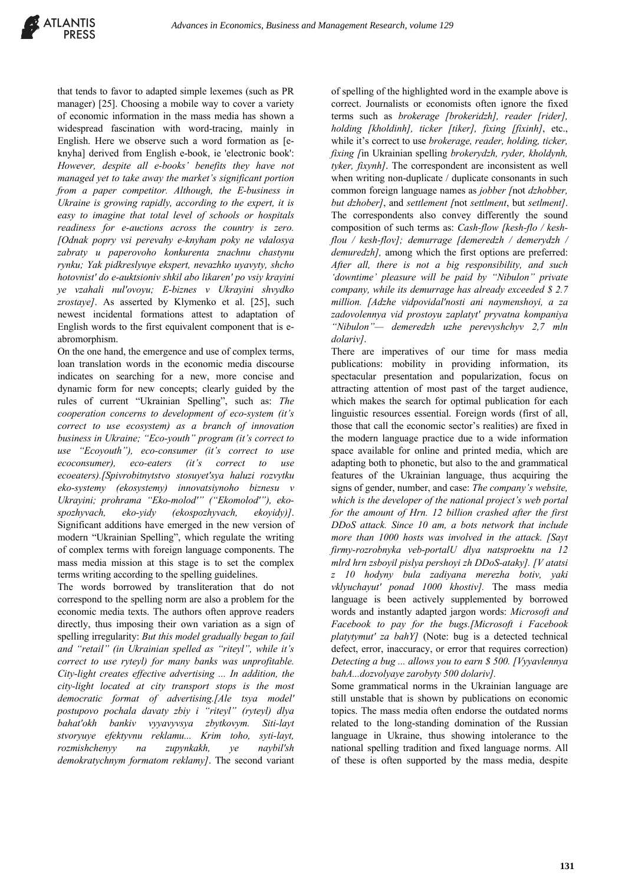that tends to favor to adapted simple lexemes (such as PR manager) [25]. Choosing a mobile way to cover a variety of economic information in the mass media has shown a widespread fascination with word-tracing, mainly in English. Here we observe such a word formation as [eknyha] derived from English e-book, ie 'electronic book': *However, despite all e-books' benefits they have not managed yet to take away the market's significant portion from a paper competitor. Although, the E-business in Ukraine is growing rapidly, according to the expert, it is easy to imagine that total level of schools or hospitals readiness for e-auctions across the country is zero. [Odnak popry vsi perevahy e-knyham poky ne vdalosya zabraty u paperovoho konkurenta znachnu chastynu rynku; Yak pidkreslyuye ekspert, nevazhko uyavyty, shcho hotovnistʹ do e-auktsioniv shkil abo likarenʹ po vsiy krayini ye vzahali nulʹovoyu; E-biznes v Ukrayini shvydko zrostaye]*. As asserted by Klymenko et al. [25], such newest incidental formations attest to adaptation of English words to the first equivalent component that is eabromorphism.

On the one hand, the emergence and use of complex terms, loan translation words in the economic media discourse indicates on searching for a new, more concise and dynamic form for new concepts; clearly guided by the rules of current "Ukrainian Spelling", such as: *The cooperation concerns to development of eco-system (it's correct to use ecosystem) as a branch of innovation business in Ukraine; "Eco-youth" program (it's correct to use "Ecoyouth"), eco-consumer (it's correct to use ecoconsumer), eco-eaters (it's correct to use ecoeaters).[Spivrobitnytstvo stosuyetʹsya haluzi rozvytku eko-systemy (ekosystemy) innovatsiynoho biznesu v Ukrayini; prohrama "Eko-molodʹ" ("Ekomolodʹ"), ekospozhyvach, eko-yidy (ekospozhyvach, ekoyidy)]*. Significant additions have emerged in the new version of modern "Ukrainian Spelling", which regulate the writing of complex terms with foreign language components. The mass media mission at this stage is to set the complex terms writing according to the spelling guidelines.

The words borrowed by transliteration that do not correspond to the spelling norm are also a problem for the economic media texts. The authors often approve readers directly, thus imposing their own variation as a sign of spelling irregularity: *But this model gradually began to fail and "retail" (in Ukrainian spelled as "riteyl", while it's correct to use ryteyl) for many banks was unprofitable. City-light creates effective advertising ... In addition, the city-light located at city transport stops is the most democratic format of advertising.[Ale tsya modelʹ postupovo pochala davaty zbiy i "riteyl" (ryteyl) dlya bahatʹokh bankiv vyyavyvsya zbytkovym. Siti-layt stvoryuye efektyvnu reklamu... Krim toho, syti-layt, rozmishchenyy na zupynkakh, ye naybilʹsh demokratychnym formatom reklamy]*. The second variant

of spelling of the highlighted word in the example above is correct. Journalists or economists often ignore the fixed terms such as *brokerage [brokeridzh], reader [rider], holding [kholdinh], ticker [tiker], fixing [fixinh]*, etc., while it's correct to use *brokerage, reader, holding, ticker, fixing [*in Ukrainian spelling *brokerydzh, ryder, kholdynh, tyker, fixynh]*. The correspondent are inconsistent as well when writing non-duplicate / duplicate consonants in such common foreign language names as *jobber [*not *dzhobber, but dzhober]*, and *settlement [*not *settlment*, but *setlment]*. The correspondents also convey differently the sound composition of such terms as: *Cash-flow [kesh-flo / keshflou / kesh-flov]; demurrage [demeredzh / demerydzh / demuredzh],* among which the first options are preferred: *After all, there is not a big responsibility, and such 'downtime' pleasure will be paid by "Nibulon" private company, while its demurrage has already exceeded \$ 2.7 million. [Adzhe vidpovidalʹnosti ani naymenshoyi, a za zadovolennya vid prostoyu zaplatytʹ pryvatna kompaniya "Nibulon"— demeredzh uzhe perevyshchyv 2,7 mln dolariv]*.

There are imperatives of our time for mass media publications: mobility in providing information, its spectacular presentation and popularization, focus on attracting attention of most past of the target audience, which makes the search for optimal publication for each linguistic resources essential. Foreign words (first of all, those that call the economic sector's realities) are fixed in the modern language practice due to a wide information space available for online and printed media, which are adapting both to phonetic, but also to the and grammatical features of the Ukrainian language, thus acquiring the signs of gender, number, and case: *The company's website, which is the developer of the national project's web portal for the amount of Hrn. 12 billion crashed after the first DDoS attack. Since 10 am, a bots network that include more than 1000 hosts was involved in the attack. [Sayt firmy-rozrobnyka veb-portalU dlya natsproektu na 12 mlrd hrn zsboyil pislya pershoyi zh DDoS-ataky]. [V atatsi z 10 hodyny bula zadiyana merezha botiv, yaki vklyuchayutʹ ponad 1000 khostiv].* The mass media language is been actively supplemented by borrowed words and instantly adapted jargon words: *Microsoft and Facebook to pay for the bugs.[Microsoft i Facebook platytymutʹ za bahY]* (Note: bug is a detected technical defect, error, inaccuracy, or error that requires correction) *Detecting a bug ... allows you to earn \$ 500. [Vyyavlennya bahA...dozvolyaye zarobyty 500 dolariv].*

Some grammatical norms in the Ukrainian language are still unstable that is shown by publications on economic topics. The mass media often endorse the outdated norms related to the long-standing domination of the Russian language in Ukraine, thus showing intolerance to the national spelling tradition and fixed language norms. All of these is often supported by the mass media, despite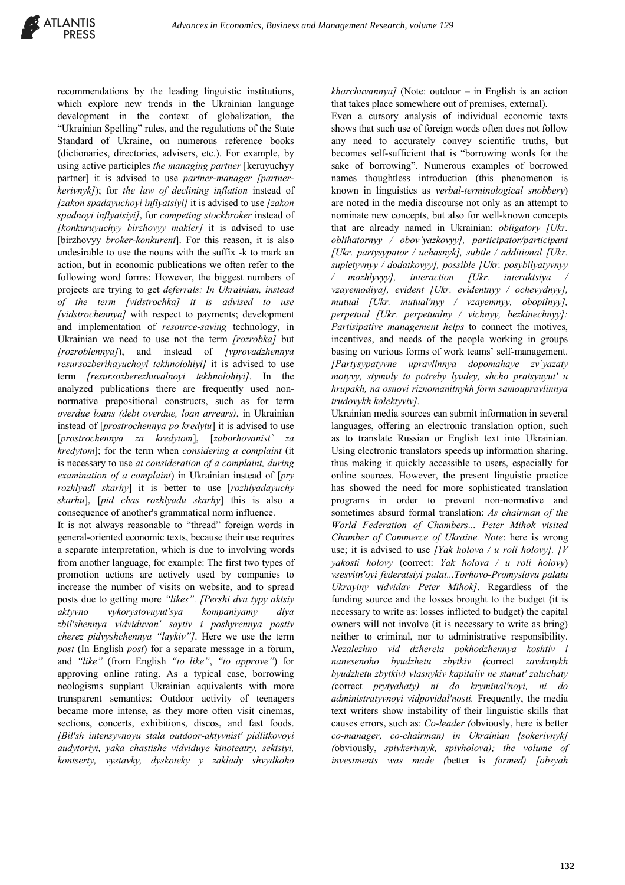recommendations by the leading linguistic institutions, which explore new trends in the Ukrainian language development in the context of globalization, the "Ukrainian Spelling" rules, and the regulations of the State Standard of Ukraine, on numerous reference books (dictionaries, directories, advisers, etc.). For example, by using active participles *the managing partner* [keruyuchyy partner] it is advised to use *partner-manager [partnerkerivnyk]*); for *the law of declining inflation* instead of *[zakon spadayuchoyi inflyatsiyi]* it is advised to use *[zakon spadnoyi inflyatsiyi]*, for *competing stockbroker* instead of *[konkuruyuchyy birzhovyy makler]* it is advised to use [birzhovyy *broker-konkurent*]. For this reason, it is also undesirable to use the nouns with the suffix -k to mark an action, but in economic publications we often refer to the following word forms: However, the biggest numbers of projects are trying to get *deferrals: In Ukrainian, instead of the term [vidstrochka] it is advised to use [vidstrochennya]* with respect to payments; development and implementation of *resource-saving* technology, in Ukrainian we need to use not the term *[rozrobka]* but *[rozroblennya]*), and instead of *[vprovadzhennya resursozberihayuchoyi tekhnolohiyi]* it is advised to use term *[resursozberezhuvalnoyi tekhnolohiyi]*. In the analyzed publications there are frequently used nonnormative prepositional constructs, such as for term *overdue loans (debt overdue, loan arrears)*, in Ukrainian instead of [*prostrochennya po kredytu*] it is advised to use [*prostrochennya za kredytom*], [*zaborhovanist` za kredytom*]; for the term when *considering a complaint* (it is necessary to use *at consideration of a complaint, during examination of a complaint*) in Ukrainian instead of [*pry rozhlyadi skarhy*] it is better to use [*rozhlyadayuchy skarhu*], [*pid chas rozhlyadu skarhy*] this is also a consequence of another's grammatical norm influence.

It is not always reasonable to "thread" foreign words in general-oriented economic texts, because their use requires a separate interpretation, which is due to involving words from another language, for example: The first two types of promotion actions are actively used by companies to increase the number of visits on website, and to spread posts due to getting more *"likes". [Pershi dva typy aktsiy aktyvno vykorystovuyutʹsya kompaniyamy dlya zbilʹshennya vidviduvanʹ saytiv i poshyrennya postiv cherez pidvyshchennya "laykiv"]*. Here we use the term *post* (In English *post*) for a separate message in a forum, and *"like"* (from English *"to like"*, *"to approve"*) for approving online rating. As a typical case, borrowing neologisms supplant Ukrainian equivalents with more transparent semantics: Outdoor activity of teenagers became more intense, as they more often visit cinemas, sections, concerts, exhibitions, discos, and fast foods. *[Bilʹsh intensyvnoyu stala outdoor-aktyvnistʹ pidlitkovoyi audytoriyi, yaka chastishe vidviduye kinoteatry, sektsiyi, kontserty, vystavky, dyskoteky y zaklady shvydkoho* 

*kharchuvannya]* (Note: outdoor – in English is an action that takes place somewhere out of premises, external).

Even a cursory analysis of individual economic texts shows that such use of foreign words often does not follow any need to accurately convey scientific truths, but becomes self-sufficient that is "borrowing words for the sake of borrowing". Numerous examples of borrowed names thoughtless introduction (this phenomenon is known in linguistics as *verbal-terminological snobbery*) are noted in the media discourse not only as an attempt to nominate new concepts, but also for well-known concepts that are already named in Ukrainian: *obligatory [Ukr. oblihatornyy / obov'yazkovyy], participator/participant [Ukr. partysypator / uchasnyk], subtle / additional [Ukr. supletyvnyy / dodatkovyy], possible [Ukr. posybilyatyvnyy mozhlyvyl, interaction [Ukr. interaktsiya vzayemodiya], evident [Ukr. evidentnyy / ochevydnyy], mutual [Ukr. mutualʹnyy / vzayemnyy, obopilnyy], perpetual [Ukr. perpetualny / vichnyy, bezkinechnyy]: Partisipative management helps* to connect the motives, incentives, and needs of the people working in groups basing on various forms of work teams' self-management. *[Partysypatyvne upravlinnya dopomahaye zv`yazaty motyvy, stymuly ta potreby lyudey, shcho pratsyuyutʹ u hrupakh, na osnovi riznomanitnykh form samoupravlinnya trudovykh kolektyviv].*

Ukrainian media sources can submit information in several languages, offering an electronic translation option, such as to translate Russian or English text into Ukrainian. Using electronic translators speeds up information sharing, thus making it quickly accessible to users, especially for online sources. However, the present linguistic practice has showed the need for more sophisticated translation programs in order to prevent non-normative and sometimes absurd formal translation: *As chairman of the World Federation of Chambers... Peter Mihok visited Chamber of Commerce of Ukraine. Note*: here is wrong use; it is advised to use *[Yak holova / u roli holovy]. [V yakosti holovy* (correct: *Yak holova / u roli holovy*) *vsesvitnʹoyi federatsiyi palat...Torhovo-Promyslovu palatu Ukrayiny vidvidav Peter Mihok]*. Regardless of the funding source and the losses brought to the budget (it is necessary to write as: losses inflicted to budget) the capital owners will not involve (it is necessary to write as bring) neither to criminal, nor to administrative responsibility. *Nezalezhno vid dzherela pokhodzhennya koshtiv i nanesenoho byudzhetu zbytkiv (*correct *zavdanykh byudzhetu zbytkiv) vlasnykiv kapitaliv ne stanutʹ zaluchaty (*correct *prytyahaty) ni do kryminalʹnoyi, ni do administratyvnoyi vidpovidalʹnosti.* Frequently, the media text writers show instability of their linguistic skills that causes errors, such as: *Co-leader (*obviously, here is better *co-manager, co-chairman) in Ukrainian [sokerivnyk] (*obviously, *spivkerivnyk, spivholova); the volume of investments was made (*better is *formed) [obsyah*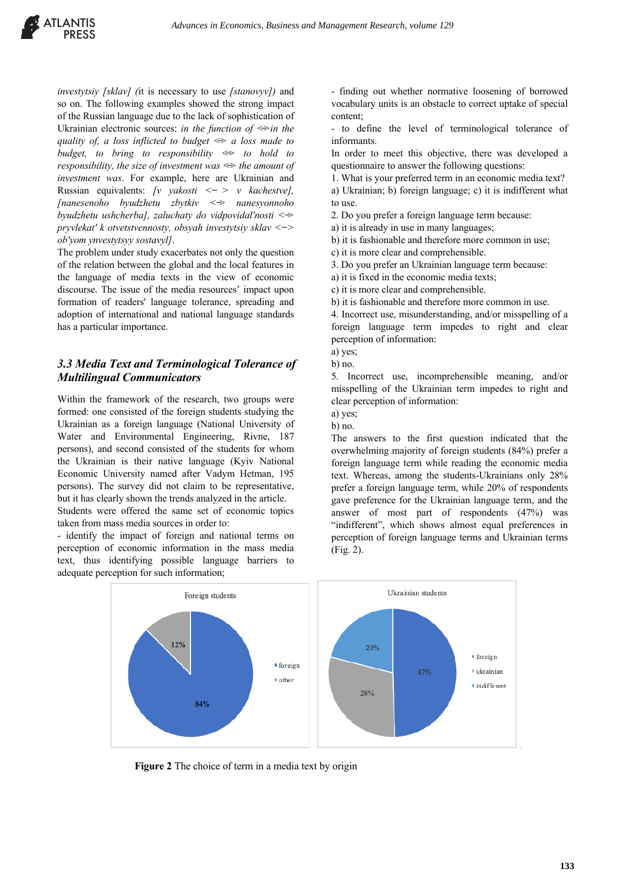*investytsiy [sklav] (*it is necessary to use *[stanovyv])* and so on. The following examples showed the strong impact of the Russian language due to the lack of sophistication of Ukrainian electronic sources: *in the function of <̶>in the quality of, a loss inflicted to budget <̶> a loss made to budget, to bring to responsibility <̶> to hold to responsibility, the size of investment was <̶> the amount of investment was*. For example, here are Ukrainian and Russian equivalents: *[v yakosti < ̶ > v kachestve], [nanesenoho byudzhetu zbytkiv < ̶> nanesyonnoho byudzhetu ushcherba], zaluchaty do vidpovidalʹnosti < ̶> pryvlekatʹ k otvetstvennosty, obsyah investytsiy sklav < ̶> obʹyom ynvestytsyy sostavyl]*.

The problem under study exacerbates not only the question of the relation between the global and the local features in the language of media texts in the view of economic discourse. The issue of the media resources' impact upon formation of readers' language tolerance, spreading and adoption of international and national language standards has a particular importance.

# *3.3 Media Text and Terminological Tolerance of Multilingual Communicators*

Within the framework of the research, two groups were formed: one consisted of the foreign students studying the Ukrainian as a foreign language (National University of Water and Environmental Engineering, Rivne, 187 persons), and second consisted of the students for whom the Ukrainian is their native language (Kyiv National Economic University named after Vadym Hetman, 195 persons). The survey did not claim to be representative, but it has clearly shown the trends analyzed in the article. Students were offered the same set of economic topics

taken from mass media sources in order to: - identify the impact of foreign and national terms on

perception of economic information in the mass media text, thus identifying possible language barriers to adequate perception for such information;

- finding out whether normative loosening of borrowed vocabulary units is an obstacle to correct uptake of special content;

- to define the level of terminological tolerance of informants.

In order to meet this objective, there was developed a questionnaire to answer the following questions:

1. What is your preferred term in an economic media text?

a) Ukrainian; b) foreign language; c) it is indifferent what to use.

2. Do you prefer a foreign language term because:

a) it is already in use in many languages;

b) it is fashionable and therefore more common in use;

c) it is more clear and comprehensible.

3. Do you prefer an Ukrainian language term because:

a) it is fixed in the economic media texts;

c) it is more clear and comprehensible.

b) it is fashionable and therefore more common in use.

4. Incorrect use, misunderstanding, and/or misspelling of a foreign language term impedes to right and clear perception of information:

a) yes;

b) no.

5. Incorrect use, incomprehensible meaning, and/or misspelling of the Ukrainian term impedes to right and clear perception of information:

a) yes;

b) no.

The answers to the first question indicated that the overwhelming majority of foreign students (84%) prefer a foreign language term while reading the economic media text. Whereas, among the students-Ukrainians only 28% prefer a foreign language term, while 20% of respondents gave preference for the Ukrainian language term, and the answer of most part of respondents (47%) was "indifferent", which shows almost equal preferences in perception of foreign language terms and Ukrainian terms (Fig. 2).



**Figure 2** The choice of term in a media text by origin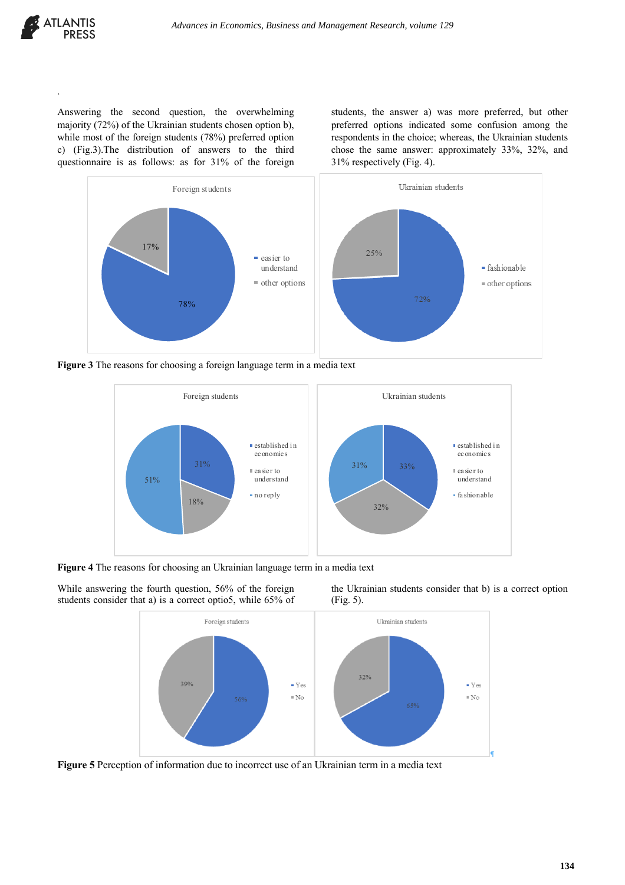

.

Answering the second question, the overwhelming majority (72%) of the Ukrainian students chosen option b), while most of the foreign students (78%) preferred option c) (Fig.3).The distribution of answers to the third questionnaire is as follows: as for 31% of the foreign students, the answer a) was more preferred, but other preferred options indicated some confusion among the respondents in the choice; whereas, the Ukrainian students chose the same answer: approximately 33%, 32%, and 31% respectively (Fig. 4).



**Figure 3** The reasons for choosing a foreign language term in a media text



**Figure 4** The reasons for choosing an Ukrainian language term in a media text

While answering the fourth question, 56% of the foreign students consider that a) is a correct optio5, while 65% of the Ukrainian students consider that b) is a correct option (Fig. 5).



**Figure 5** Perception of information due to incorrect use of an Ukrainian term in a media text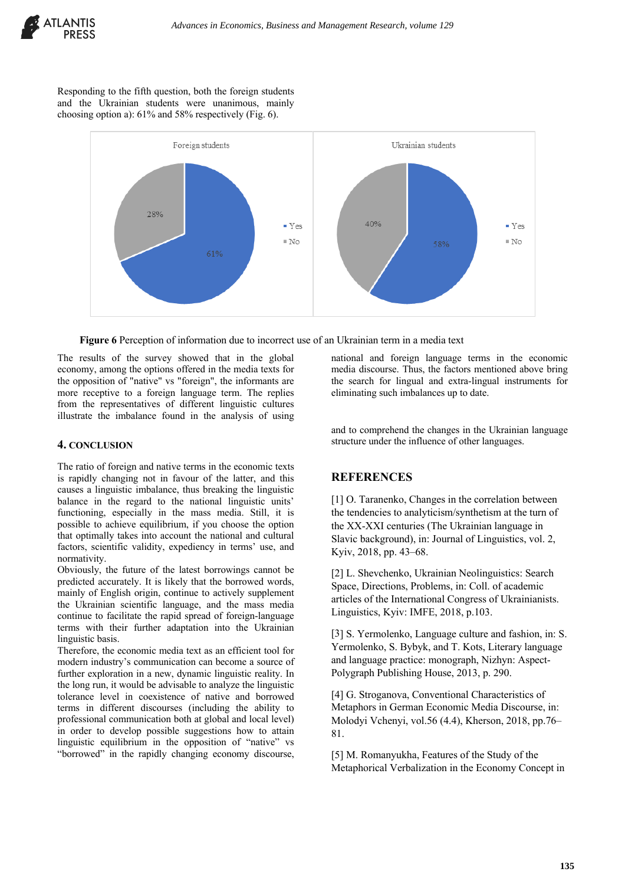

Responding to the fifth question, both the foreign students and the Ukrainian students were unanimous, mainly choosing option a): 61% and 58% respectively (Fig. 6).



**Figure 6** Perception of information due to incorrect use of an Ukrainian term in a media text

The results of the survey showed that in the global economy, among the options offered in the media texts for the opposition of "native" vs "foreign", the informants are more receptive to a foreign language term. The replies from the representatives of different linguistic cultures illustrate the imbalance found in the analysis of using

#### **4. CONCLUSION**

The ratio of foreign and native terms in the economic texts is rapidly changing not in favour of the latter, and this causes a linguistic imbalance, thus breaking the linguistic balance in the regard to the national linguistic units' functioning, especially in the mass media. Still, it is possible to achieve equilibrium, if you choose the option that optimally takes into account the national and cultural factors, scientific validity, expediency in terms' use, and normativity.

Obviously, the future of the latest borrowings cannot be predicted accurately. It is likely that the borrowed words, mainly of English origin, continue to actively supplement the Ukrainian scientific language, and the mass media continue to facilitate the rapid spread of foreign-language terms with their further adaptation into the Ukrainian linguistic basis.

Therefore, the economic media text as an efficient tool for modern industry's communication can become a source of further exploration in a new, dynamic linguistic reality. In the long run, it would be advisable to analyze the linguistic tolerance level in coexistence of native and borrowed terms in different discourses (including the ability to professional communication both at global and local level) in order to develop possible suggestions how to attain linguistic equilibrium in the opposition of "native" vs "borrowed" in the rapidly changing economy discourse,

national and foreign language terms in the economic media discourse. Thus, the factors mentioned above bring the search for lingual and extra-lingual instruments for eliminating such imbalances up to date.

and to comprehend the changes in the Ukrainian language structure under the influence of other languages.

### **REFERENCES**

[1] O. Taranenko, Changes in the correlation between the tendencies to analyticism/synthetism at the turn of the XX-XXI centuries (The Ukrainian language in Slavic background), in: Journal of Linguistics, vol. 2, Kyiv, 2018, pp. 43–68.

[2] L. Shevchenko, Ukrainian Neolinguistics: Search Space, Directions, Problems, in: Coll. of academic articles of the International Congress of Ukrainianists. Linguistics, Kyiv: IMFE, 2018, p.103.

[3] S. Yermolenko, Language culture and fashion, in: S. Yermolenko, S. Bybyk, and T. Kots, Literary language and language practice: monograph, Nizhyn: Aspect-Polygraph Publishing House, 2013, p. 290.

[4] G. Stroganova, Conventional Characteristics of Metaphors in German Economic Media Discourse, in: Molodyi Vchenyi, vol.56 (4.4), Kherson, 2018, pp.76– 81.

[5] M. Romanyukha, Features of the Study of the Metaphorical Verbalization in the Economy Concept in